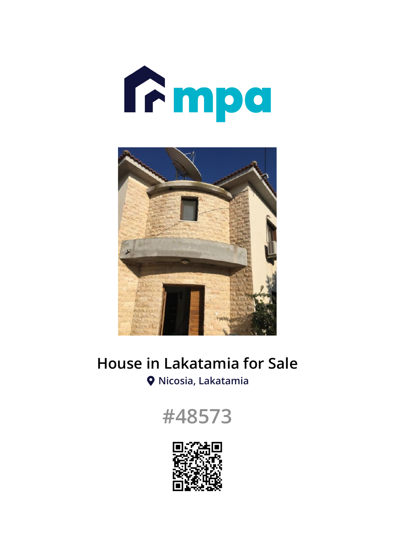



## **House in Lakatamia for Sale Nicosia, Lakatamia**



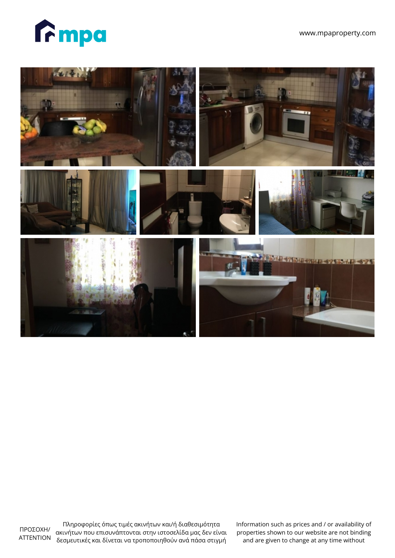



Πληροφορίες όπως τιμές ακινήτων και/ή διαθεσιμότητα ακινήτων που επισυνάπτονται στην ιστοσελίδα μας δεν είναι δεσμευτικές και δίνεται να τροποποιηθούν ανά πάσα στιγμή

Information such as prices and / or availability of properties shown to our website are not binding and are given to change at any time without

ΠΡΟΣΟΧΗ/ ΑΤΤΕΝΤΙΟΝ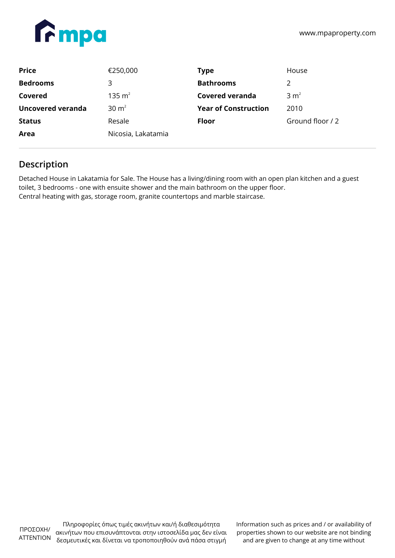

| <b>Price</b>             | €250,000           | Type                        | House            |
|--------------------------|--------------------|-----------------------------|------------------|
| <b>Bedrooms</b>          | 3                  | <b>Bathrooms</b>            | 2                |
| Covered                  | 135 $m^2$          | <b>Covered veranda</b>      | 3 m <sup>2</sup> |
| <b>Uncovered veranda</b> | $30 \text{ m}^2$   | <b>Year of Construction</b> | 2010             |
| <b>Status</b>            | Resale             | Floor                       | Ground floor / 2 |
| Area                     | Nicosia, Lakatamia |                             |                  |

## **Description**

Detached House in Lakatamia for Sale. The House has a living/dining room with an open plan kitchen and a guest toilet, 3 bedrooms - one with ensuite shower and the main bathroom on the upper floor. Central heating with gas, storage room, granite countertops and marble staircase.